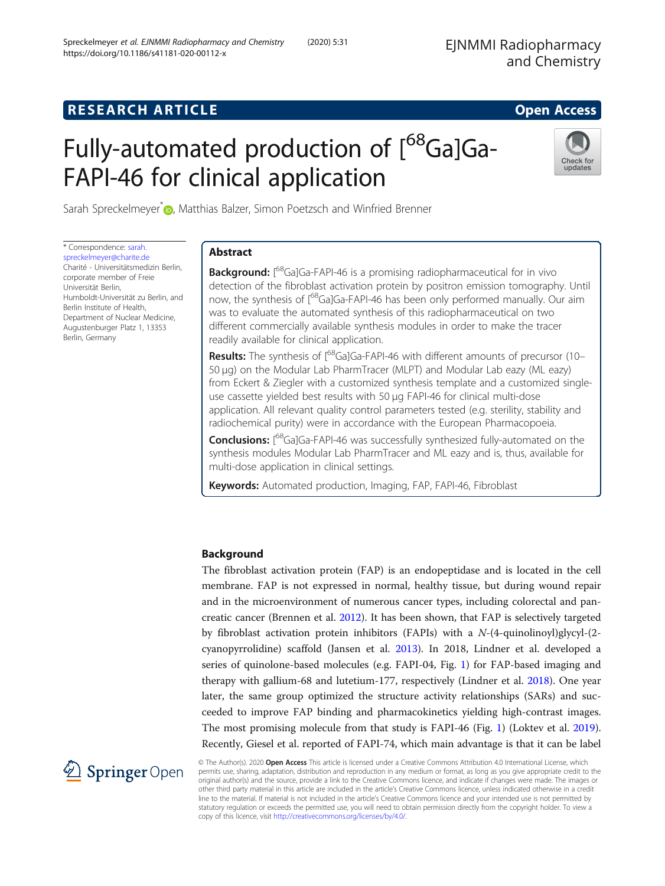# Fully-automated production of [<sup>68</sup>Ga]Ga-FAPI-46 for clinical application



Sarah Spreckelmeyer<sup>[\\*](http://orcid.org/0000-0003-1348-0309)</sup> , Matthias Balzer, Simon Poetzsch and Winfried Brenner

\* Correspondence: [sarah.](mailto:sarah.spreckelmeyer@charite.de) [spreckelmeyer@charite.de](mailto:sarah.spreckelmeyer@charite.de) Charité - Universitätsmedizin Berlin, corporate member of Freie Universität Berlin, Humboldt-Universität zu Berlin, and Berlin Institute of Health, Department of Nuclear Medicine, Augustenburger Platz 1, 13353 Berlin, Germany

# Abstract

Background: [<sup>68</sup>Ga]Ga-FAPI-46 is a promising radiopharmaceutical for in vivo detection of the fibroblast activation protein by positron emission tomography. Until now, the synthesis of  $1^{68}$ Ga]Ga-FAPI-46 has been only performed manually. Our aim was to evaluate the automated synthesis of this radiopharmaceutical on two different commercially available synthesis modules in order to make the tracer readily available for clinical application.

Results: The synthesis of  $168$ Ga]Ga-FAPI-46 with different amounts of precursor (10– 50 μg) on the Modular Lab PharmTracer (MLPT) and Modular Lab eazy (ML eazy) from Eckert & Ziegler with a customized synthesis template and a customized singleuse cassette yielded best results with 50 μg FAPI-46 for clinical multi-dose application. All relevant quality control parameters tested (e.g. sterility, stability and radiochemical purity) were in accordance with the European Pharmacopoeia.

Conclusions: [<sup>68</sup>Ga]Ga-FAPI-46 was successfully synthesized fully-automated on the synthesis modules Modular Lab PharmTracer and ML eazy and is, thus, available for multi-dose application in clinical settings.

Keywords: Automated production, Imaging, FAP, FAPI-46, Fibroblast

# Background

The fibroblast activation protein (FAP) is an endopeptidase and is located in the cell membrane. FAP is not expressed in normal, healthy tissue, but during wound repair and in the microenvironment of numerous cancer types, including colorectal and pancreatic cancer (Brennen et al. [2012\)](#page-8-0). It has been shown, that FAP is selectively targeted by fibroblast activation protein inhibitors (FAPIs) with a  $N-(4$ -quinolinoyl)glycyl- $(2$ cyanopyrrolidine) scaffold (Jansen et al. [2013](#page-9-0)). In 2018, Lindner et al. developed a series of quinolone-based molecules (e.g. FAPI-04, Fig. [1\)](#page-1-0) for FAP-based imaging and therapy with gallium-68 and lutetium-177, respectively (Lindner et al. [2018](#page-9-0)). One year later, the same group optimized the structure activity relationships (SARs) and succeeded to improve FAP binding and pharmacokinetics yielding high-contrast images. The most promising molecule from that study is FAPI-46 (Fig. [1\)](#page-1-0) (Loktev et al. [2019](#page-9-0)). Recently, Giesel et al. reported of FAPI-74, which main advantage is that it can be label



© The Author(s). 2020 Open Access This article is licensed under a Creative Commons Attribution 4.0 International License, which permits use, sharing, adaptation, distribution and reproduction in any medium or format, as long as you give appropriate credit to the original author(s) and the source, provide a link to the Creative Commons licence, and indicate if changes were made. The images or other third party material in this article are included in the article's Creative Commons licence, unless indicated otherwise in a credit line to the material. If material is not included in the article's Creative Commons licence and your intended use is not permitted by statutory regulation or exceeds the permitted use, you will need to obtain permission directly from the copyright holder. To view a copy of this licence, visit <http://creativecommons.org/licenses/by/4.0/>.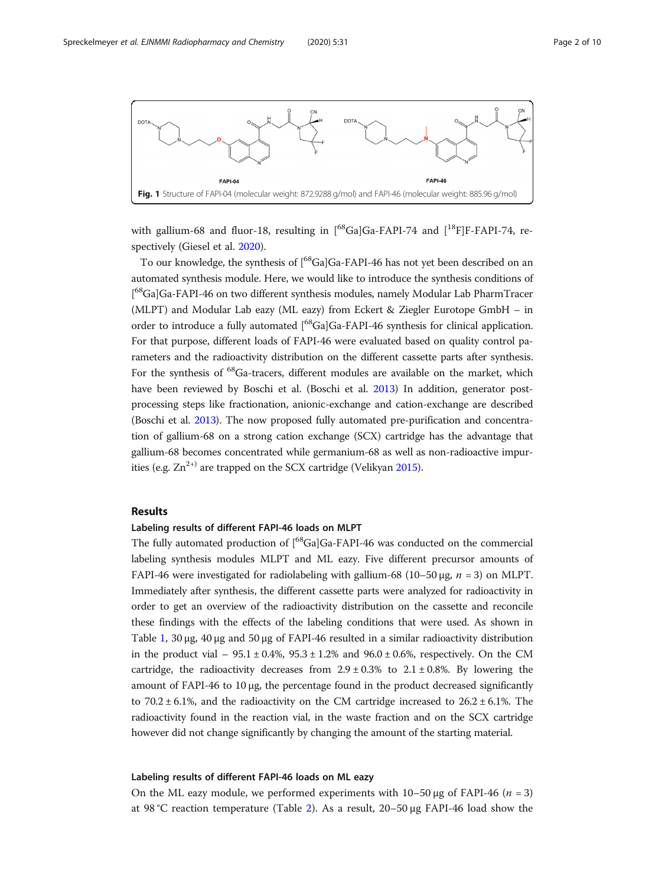<span id="page-1-0"></span>

with gallium-68 and fluor-18, resulting in  $[{}^{68}Ga]Ga$ -FAPI-74 and  $[{}^{18}F]F$ -FAPI-74, respectively (Giesel et al. [2020](#page-9-0)).

To our knowledge, the synthesis of [<sup>68</sup>Ga]Ga-FAPI-46 has not yet been described on an automated synthesis module. Here, we would like to introduce the synthesis conditions of [<sup>68</sup>Ga]Ga-FAPI-46 on two different synthesis modules, namely Modular Lab PharmTracer (MLPT) and Modular Lab eazy (ML eazy) from Eckert & Ziegler Eurotope GmbH – in order to introduce a fully automated [<sup>68</sup>Ga]Ga-FAPI-46 synthesis for clinical application. For that purpose, different loads of FAPI-46 were evaluated based on quality control parameters and the radioactivity distribution on the different cassette parts after synthesis. For the synthesis of <sup>68</sup>Ga-tracers, different modules are available on the market, which have been reviewed by Boschi et al. (Boschi et al. [2013\)](#page-8-0) In addition, generator postprocessing steps like fractionation, anionic-exchange and cation-exchange are described (Boschi et al. [2013](#page-8-0)). The now proposed fully automated pre-purification and concentration of gallium-68 on a strong cation exchange (SCX) cartridge has the advantage that gallium-68 becomes concentrated while germanium-68 as well as non-radioactive impurities (e.g.  $Zn^{2+}$ ) are trapped on the SCX cartridge (Velikyan [2015](#page-9-0)).

# Results

#### Labeling results of different FAPI-46 loads on MLPT

The fully automated production of [<sup>68</sup>Ga]Ga-FAPI-46 was conducted on the commercial labeling synthesis modules MLPT and ML eazy. Five different precursor amounts of FAPI-46 were investigated for radiolabeling with gallium-68 (10–50 μg,  $n = 3$ ) on MLPT. Immediately after synthesis, the different cassette parts were analyzed for radioactivity in order to get an overview of the radioactivity distribution on the cassette and reconcile these findings with the effects of the labeling conditions that were used. As shown in Table [1](#page-2-0), 30 μg, 40 μg and 50 μg of FAPI-46 resulted in a similar radioactivity distribution in the product vial –  $95.1 \pm 0.4$ %,  $95.3 \pm 1.2$ % and  $96.0 \pm 0.6$ %, respectively. On the CM cartridge, the radioactivity decreases from  $2.9 \pm 0.3\%$  to  $2.1 \pm 0.8\%$ . By lowering the amount of FAPI-46 to 10 μg, the percentage found in the product decreased significantly to  $70.2 \pm 6.1\%$ , and the radioactivity on the CM cartridge increased to  $26.2 \pm 6.1\%$ . The radioactivity found in the reaction vial, in the waste fraction and on the SCX cartridge however did not change significantly by changing the amount of the starting material.

#### Labeling results of different FAPI-46 loads on ML eazy

On the ML eazy module, we performed experiments with  $10-50 \mu$ g of FAPI-46 (n = 3) at 98 °C reaction temperature (Table [2](#page-2-0)). As a result, 20–50 μg FAPI-46 load show the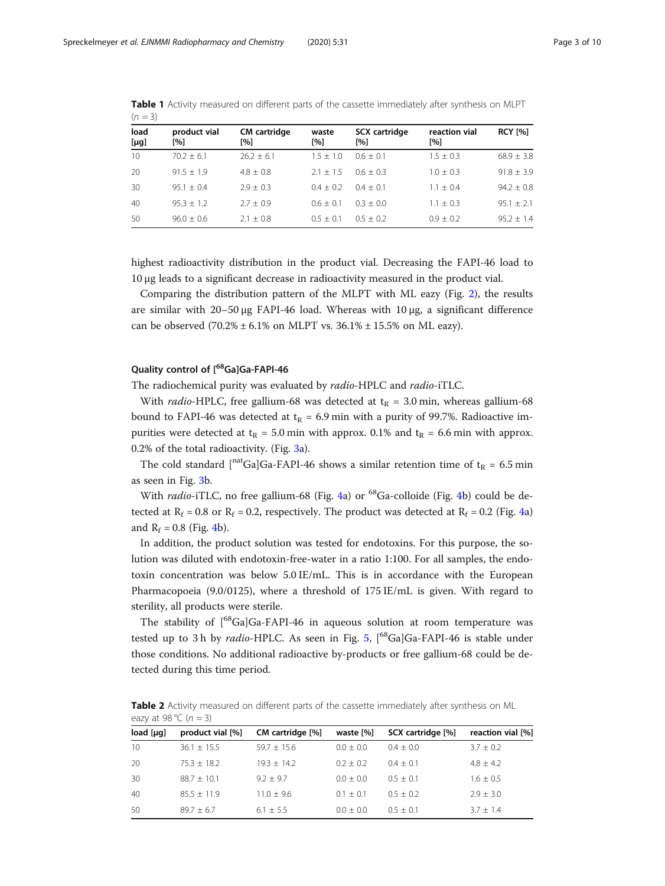| load<br>$[\mu g]$ | product vial<br>[%] | <b>CM</b> cartridge<br>[%] | waste<br>[%] | SCX cartridge<br>[%] | reaction vial<br>$\lceil 96 \rceil$ | <b>RCY [%]</b> |  |
|-------------------|---------------------|----------------------------|--------------|----------------------|-------------------------------------|----------------|--|
| 10                | $70.2 + 6.1$        | $26.2 + 6.1$               | $1.5 + 1.0$  | $0.6 + 0.1$          | $1.5 + 0.3$                         | $68.9 \pm 3.8$ |  |
| 20                | $91.5 + 1.9$        | $4.8 + 0.8$                | $2.1 + 1.5$  | $0.6 + 0.3$          | $1.0 \pm 0.3$                       | $91.8 + 3.9$   |  |
| 30                | $95.1 + 0.4$        | $2.9 + 0.3$                | $0.4 + 0.2$  | $0.4 + 0.1$          | $1.1 \pm 0.4$                       | $94.2 \pm 0.8$ |  |
| 40                | $95.3 + 1.2$        | $2.7 + 0.9$                | $0.6 + 0.1$  | $0.3 + 0.0$          | $1.1 \pm 0.3$                       | $95.1 + 2.1$   |  |
| 50                | $96.0 + 0.6$        | $2.1 \pm 0.8$              | $0.5 + 0.1$  | $0.5 + 0.2$          | $0.9 \pm 0.2$                       | $95.2 + 1.4$   |  |

<span id="page-2-0"></span>Table 1 Activity measured on different parts of the cassette immediately after synthesis on MLPT  $(n = 3)$ 

highest radioactivity distribution in the product vial. Decreasing the FAPI-46 load to 10 μg leads to a significant decrease in radioactivity measured in the product vial.

Comparing the distribution pattern of the MLPT with ML eazy (Fig. [2\)](#page-3-0), the results are similar with  $20-50 \mu g$  FAPI-46 load. Whereas with  $10 \mu g$ , a significant difference can be observed  $(70.2% \pm 6.1% \text{ on MLPT vs. } 36.1% \pm 15.5% \text{ on ML easy}).$ 

# Quality control of [<sup>68</sup>Ga]Ga-FAPI-46

The radiochemical purity was evaluated by radio-HPLC and radio-iTLC.

With *radio-HPLC*, free gallium-68 was detected at  $t<sub>R</sub> = 3.0$  min, whereas gallium-68 bound to FAPI-46 was detected at  $t_R = 6.9$  min with a purity of 99.7%. Radioactive impurities were detected at  $t_R = 5.0$  min with approx. 0.1% and  $t_R = 6.6$  min with approx. 0.2% of the total radioactivity. (Fig. [3](#page-3-0)a).

The cold standard  $\int^{\text{nat}}Ga|Ga-FAPI-46$  shows a similar retention time of  $t_R = 6.5$  min as seen in Fig. [3](#page-3-0)b.

With *radio*-iTLC, no free gallium-68 (Fig. [4](#page-4-0)a) or  $^{68}$ Ga-colloide (Fig. 4b) could be detected at  $R_f = 0.8$  or  $R_f = 0.2$ , respectively. The product was detected at  $R_f = 0.2$  (Fig. [4](#page-4-0)a) and  $R_f = 0.8$  (Fig. [4b](#page-4-0)).

In addition, the product solution was tested for endotoxins. For this purpose, the solution was diluted with endotoxin-free-water in a ratio 1:100. For all samples, the endotoxin concentration was below 5.0 IE/mL. This is in accordance with the European Pharmacopoeia (9.0/0125), where a threshold of 175 IE/mL is given. With regard to sterility, all products were sterile.

The stability of  $\int_{0}^{68}Ga$ ]Ga-FAPI-46 in aqueous solution at room temperature was tested up to 3 h by *radio-HPLC*. As seen in Fig. [5,](#page-5-0)  $[{}^{68}Ga]Ga$ -FAPI-46 is stable under those conditions. No additional radioactive by-products or free gallium-68 could be detected during this time period.

Table 2 Activity measured on different parts of the cassette immediately after synthesis on ML eazy at 98 °C ( $n = 3$ )

| product vial [%] | CM cartridge [%] | waste [%]   | SCX cartridge [%] | reaction vial [%] |  |
|------------------|------------------|-------------|-------------------|-------------------|--|
| $36.1 \pm 15.5$  | $59.7 + 15.6$    | $0.0 + 0.0$ | $0.4 + 0.0$       | $3.7 + 0.2$       |  |
| $75.3 + 18.2$    | $19.3 + 14.2$    | $0.2 + 0.2$ | $0.4 + 0.1$       | $4.8 + 4.2$       |  |
| $88.7 + 10.1$    | $9.2 + 9.7$      | $0.0 + 0.0$ | $0.5 + 0.1$       | $1.6 \pm 0.5$     |  |
| $85.5 + 11.9$    | $11.0 + 9.6$     | $0.1 + 0.1$ | $0.5 + 0.2$       | $2.9 + 3.0$       |  |
| $89.7 + 6.7$     | $6.1 \pm 5.5$    | $0.0 + 0.0$ | $0.5 + 0.1$       | $3.7 + 1.4$       |  |
|                  |                  |             |                   |                   |  |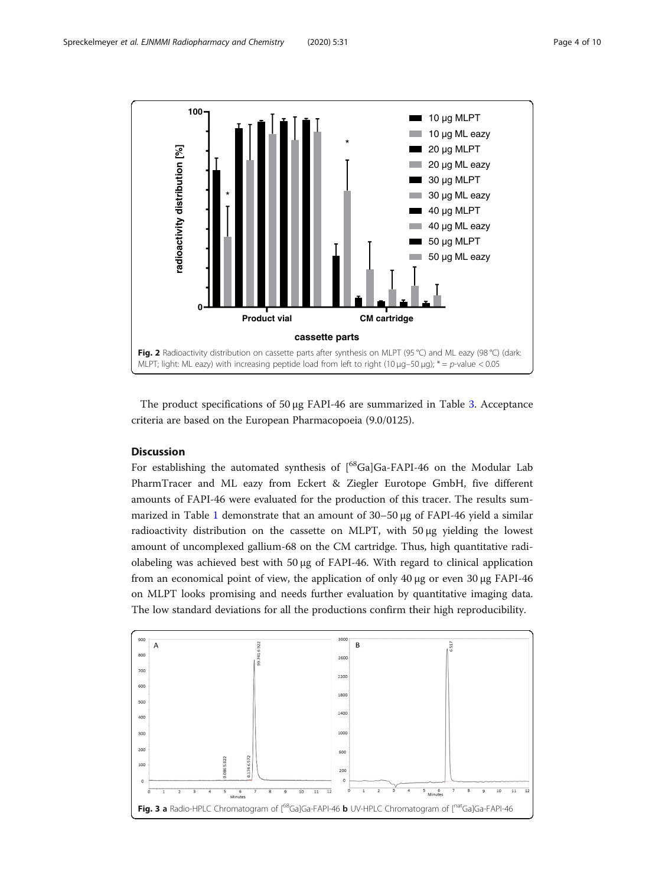<span id="page-3-0"></span>

The product specifications of 50 μg FAPI-46 are summarized in Table [3.](#page-6-0) Acceptance criteria are based on the European Pharmacopoeia (9.0/0125).

# **Discussion**

For establishing the automated synthesis of  $[{}^{68}Ga]Ga$ -FAPI-46 on the Modular Lab PharmTracer and ML eazy from Eckert & Ziegler Eurotope GmbH, five different amounts of FAPI-46 were evaluated for the production of this tracer. The results summarized in Table [1](#page-2-0) demonstrate that an amount of 30–50 μg of FAPI-46 yield a similar radioactivity distribution on the cassette on MLPT, with 50 μg yielding the lowest amount of uncomplexed gallium-68 on the CM cartridge. Thus, high quantitative radiolabeling was achieved best with 50 μg of FAPI-46. With regard to clinical application from an economical point of view, the application of only 40 μg or even 30 μg FAPI-46 on MLPT looks promising and needs further evaluation by quantitative imaging data. The low standard deviations for all the productions confirm their high reproducibility.

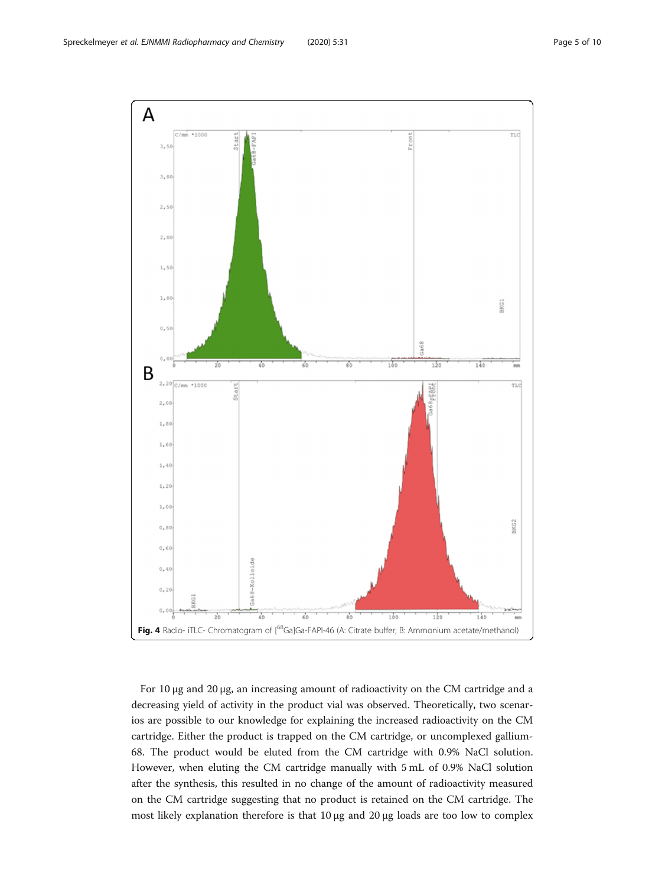<span id="page-4-0"></span>

For 10 μg and 20 μg, an increasing amount of radioactivity on the CM cartridge and a decreasing yield of activity in the product vial was observed. Theoretically, two scenarios are possible to our knowledge for explaining the increased radioactivity on the CM cartridge. Either the product is trapped on the CM cartridge, or uncomplexed gallium-68. The product would be eluted from the CM cartridge with 0.9% NaCl solution. However, when eluting the CM cartridge manually with 5 mL of 0.9% NaCl solution after the synthesis, this resulted in no change of the amount of radioactivity measured on the CM cartridge suggesting that no product is retained on the CM cartridge. The most likely explanation therefore is that 10 μg and 20 μg loads are too low to complex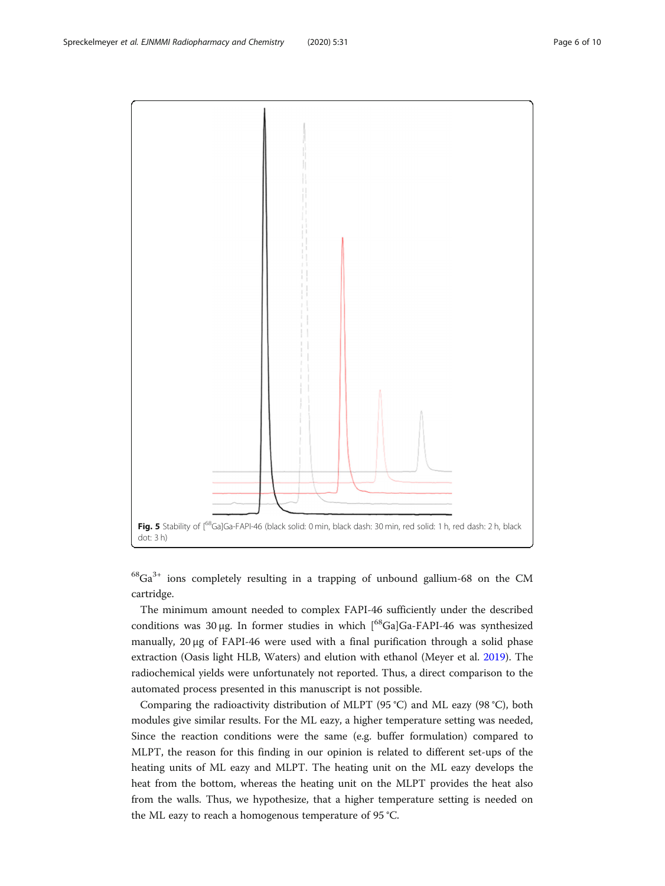<span id="page-5-0"></span>

 $68$ Ga<sup>3+</sup> ions completely resulting in a trapping of unbound gallium-68 on the CM cartridge.

The minimum amount needed to complex FAPI-46 sufficiently under the described conditions was 30 μg. In former studies in which [68Ga]Ga-FAPI-46 was synthesized manually, 20 μg of FAPI-46 were used with a final purification through a solid phase extraction (Oasis light HLB, Waters) and elution with ethanol (Meyer et al. [2019\)](#page-9-0). The radiochemical yields were unfortunately not reported. Thus, a direct comparison to the automated process presented in this manuscript is not possible.

Comparing the radioactivity distribution of MLPT (95 °C) and ML eazy (98 °C), both modules give similar results. For the ML eazy, a higher temperature setting was needed, Since the reaction conditions were the same (e.g. buffer formulation) compared to MLPT, the reason for this finding in our opinion is related to different set-ups of the heating units of ML eazy and MLPT. The heating unit on the ML eazy develops the heat from the bottom, whereas the heating unit on the MLPT provides the heat also from the walls. Thus, we hypothesize, that a higher temperature setting is needed on the ML eazy to reach a homogenous temperature of 95 °C.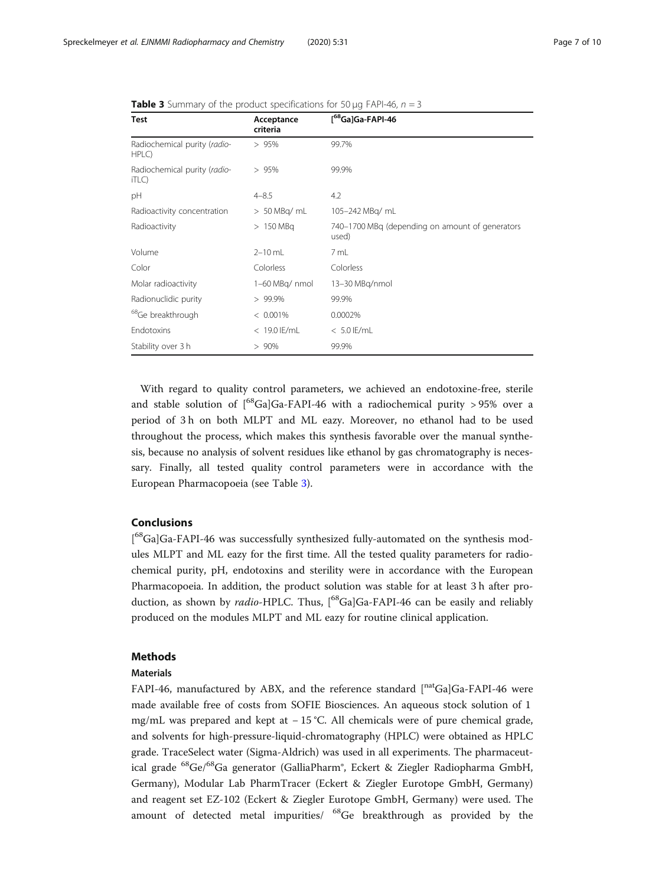| <b>Test</b>                           | Acceptance<br>criteria | [ <sup>68</sup> Ga]Ga-FAPI-46                            |  |
|---------------------------------------|------------------------|----------------------------------------------------------|--|
| Radiochemical purity (radio-<br>HPLC) | > 95%                  | 99.7%                                                    |  |
| Radiochemical purity (radio-<br>iTLC) | >95%                   | 99.9%                                                    |  |
| pH                                    | $4 - 8.5$              | 4.2                                                      |  |
| Radioactivity concentration           | $> 50$ MBq/ mL         | 105-242 MBg/ mL                                          |  |
| Radioactivity                         | $>150$ MBq             | 740-1700 MBq (depending on amount of generators<br>used) |  |
| Volume                                | $2 - 10$ mL            | 7 mL                                                     |  |
| Color                                 | Colorless              | Colorless                                                |  |
| Molar radioactivity                   | 1-60 MBq/ nmol         | 13-30 MBq/nmol                                           |  |
| Radionuclidic purity                  | $> 99.9\%$             | 99.9%                                                    |  |
| <sup>68</sup> Ge breakthrough         | $< 0.001\%$            | 0.0002%                                                  |  |
| Endotoxins                            | $< 19.0$ IE/mL         | $< 5.0$ IE/mL                                            |  |
| Stability over 3 h                    | >90%                   | 99.9%                                                    |  |

<span id="page-6-0"></span>**Table 3** Summary of the product specifications for 50  $\mu$ g FAPI-46,  $n = 3$ 

With regard to quality control parameters, we achieved an endotoxine-free, sterile and stable solution of  $\int_{0}^{68}Ga|Ga-FAPI-46$  with a radiochemical purity > 95% over a period of 3 h on both MLPT and ML eazy. Moreover, no ethanol had to be used throughout the process, which makes this synthesis favorable over the manual synthesis, because no analysis of solvent residues like ethanol by gas chromatography is necessary. Finally, all tested quality control parameters were in accordance with the European Pharmacopoeia (see Table 3).

# Conclusions

[<sup>68</sup>Ga]Ga-FAPI-46 was successfully synthesized fully-automated on the synthesis modules MLPT and ML eazy for the first time. All the tested quality parameters for radiochemical purity, pH, endotoxins and sterility were in accordance with the European Pharmacopoeia. In addition, the product solution was stable for at least 3 h after production, as shown by radio-HPLC. Thus, [<sup>68</sup>Ga]Ga-FAPI-46 can be easily and reliably produced on the modules MLPT and ML eazy for routine clinical application.

## Methods

#### Materials

FAPI-46, manufactured by ABX, and the reference standard [natGa]Ga-FAPI-46 were made available free of costs from SOFIE Biosciences. An aqueous stock solution of 1 mg/mL was prepared and kept at − 15 °C. All chemicals were of pure chemical grade, and solvents for high-pressure-liquid-chromatography (HPLC) were obtained as HPLC grade. TraceSelect water (Sigma-Aldrich) was used in all experiments. The pharmaceutical grade <sup>68</sup>Ge/<sup>68</sup>Ga generator (GalliaPharm®, Eckert & Ziegler Radiopharma GmbH, Germany), Modular Lab PharmTracer (Eckert & Ziegler Eurotope GmbH, Germany) and reagent set EZ-102 (Eckert & Ziegler Eurotope GmbH, Germany) were used. The amount of detected metal impurities/ <sup>68</sup>Ge breakthrough as provided by the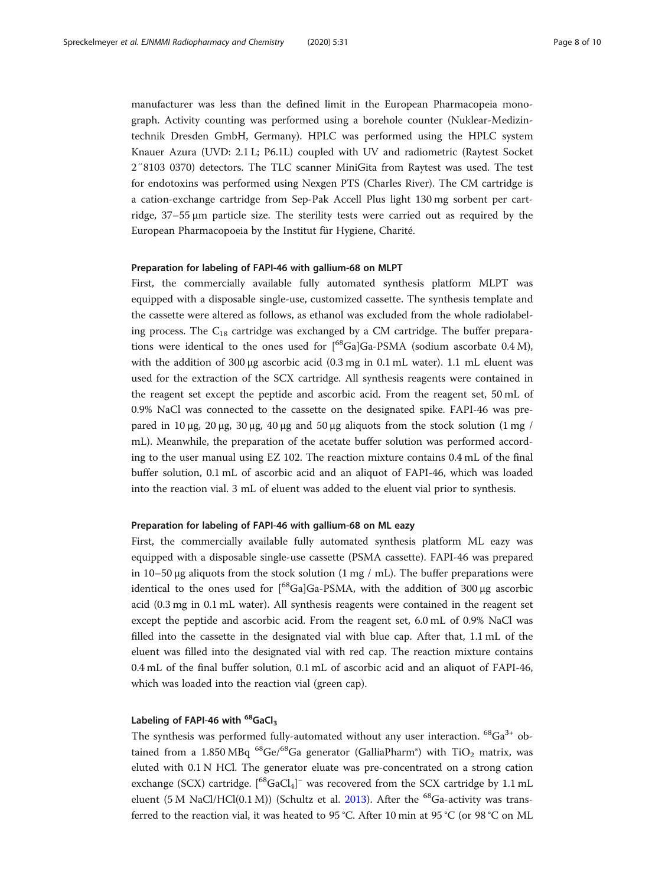manufacturer was less than the defined limit in the European Pharmacopeia monograph. Activity counting was performed using a borehole counter (Nuklear-Medizintechnik Dresden GmbH, Germany). HPLC was performed using the HPLC system Knauer Azura (UVD: 2.1 L; P6.1L) coupled with UV and radiometric (Raytest Socket 2″8103 0370) detectors. The TLC scanner MiniGita from Raytest was used. The test for endotoxins was performed using Nexgen PTS (Charles River). The CM cartridge is a cation-exchange cartridge from Sep-Pak Accell Plus light 130 mg sorbent per cartridge, 37–55 μm particle size. The sterility tests were carried out as required by the European Pharmacopoeia by the Institut für Hygiene, Charité.

#### Preparation for labeling of FAPI-46 with gallium-68 on MLPT

First, the commercially available fully automated synthesis platform MLPT was equipped with a disposable single-use, customized cassette. The synthesis template and the cassette were altered as follows, as ethanol was excluded from the whole radiolabeling process. The  $C_{18}$  cartridge was exchanged by a CM cartridge. The buffer preparations were identical to the ones used for  $\int_{0}^{68}Ga$ ]Ga-PSMA (sodium ascorbate 0.4 M), with the addition of 300  $\mu$ g ascorbic acid (0.3 mg in 0.1 mL water). 1.1 mL eluent was used for the extraction of the SCX cartridge. All synthesis reagents were contained in the reagent set except the peptide and ascorbic acid. From the reagent set, 50 mL of 0.9% NaCl was connected to the cassette on the designated spike. FAPI-46 was prepared in 10 μg, 20 μg, 30 μg, 40 μg and 50 μg aliquots from the stock solution (1 mg / mL). Meanwhile, the preparation of the acetate buffer solution was performed according to the user manual using EZ 102. The reaction mixture contains 0.4 mL of the final buffer solution, 0.1 mL of ascorbic acid and an aliquot of FAPI-46, which was loaded into the reaction vial. 3 mL of eluent was added to the eluent vial prior to synthesis.

# Preparation for labeling of FAPI-46 with gallium-68 on ML eazy

First, the commercially available fully automated synthesis platform ML eazy was equipped with a disposable single-use cassette (PSMA cassette). FAPI-46 was prepared in 10–50 μg aliquots from the stock solution  $(1 \text{ mg } / \text{ mL})$ . The buffer preparations were identical to the ones used for  $\int_{0}^{68}Ga|Ga-PSMA$ , with the addition of 300 µg ascorbic acid (0.3 mg in 0.1 mL water). All synthesis reagents were contained in the reagent set except the peptide and ascorbic acid. From the reagent set, 6.0 mL of 0.9% NaCl was filled into the cassette in the designated vial with blue cap. After that, 1.1 mL of the eluent was filled into the designated vial with red cap. The reaction mixture contains 0.4 mL of the final buffer solution, 0.1 mL of ascorbic acid and an aliquot of FAPI-46, which was loaded into the reaction vial (green cap).

# Labeling of FAPI-46 with  $^{68}$ GaCl<sub>3</sub>

The synthesis was performed fully-automated without any user interaction.  ${}^{68}Ga^{3+}$  obtained from a 1.850 MBq  $^{68}$ Ge/ $^{68}$ Ga generator (GalliaPharm<sup>®</sup>) with TiO<sub>2</sub> matrix, was eluted with 0.1 N HCl. The generator eluate was pre-concentrated on a strong cation exchange (SCX) cartridge.  $[$ <sup>68</sup>GaCl<sub>4</sub>]<sup>-</sup> was recovered from the SCX cartridge by 1.1 mL eluent (5 M NaCl/HCl(0.1 M)) (Schultz et al. [2013](#page-9-0)). After the <sup>68</sup>Ga-activity was transferred to the reaction vial, it was heated to 95 °C. After 10 min at 95 °C (or 98 °C on ML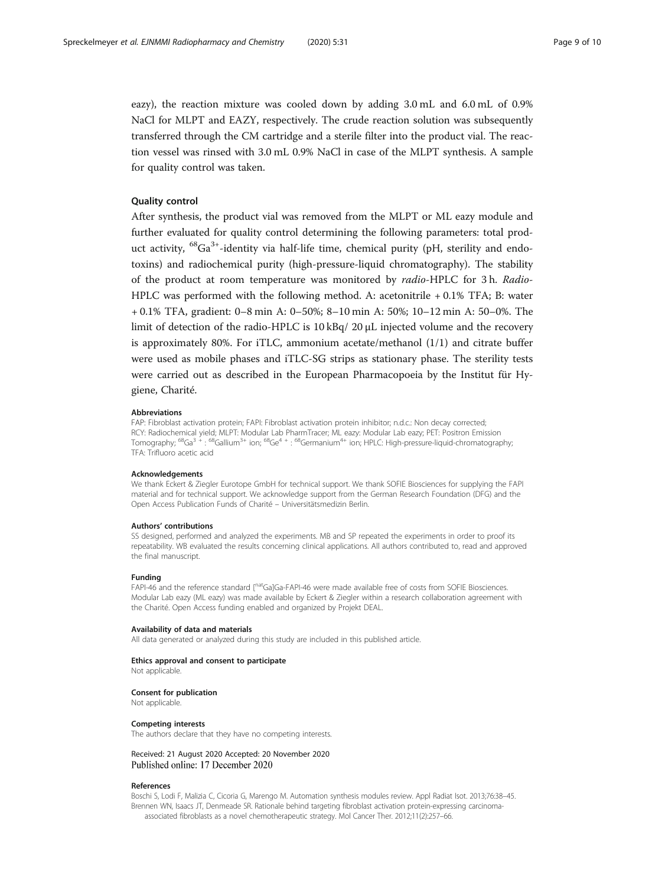<span id="page-8-0"></span>eazy), the reaction mixture was cooled down by adding 3.0 mL and 6.0 mL of 0.9% NaCl for MLPT and EAZY, respectively. The crude reaction solution was subsequently transferred through the CM cartridge and a sterile filter into the product vial. The reaction vessel was rinsed with 3.0 mL 0.9% NaCl in case of the MLPT synthesis. A sample for quality control was taken.

## Quality control

After synthesis, the product vial was removed from the MLPT or ML eazy module and further evaluated for quality control determining the following parameters: total product activity,  ${}^{68}Ga^{3+}$ -identity via half-life time, chemical purity (pH, sterility and endotoxins) and radiochemical purity (high-pressure-liquid chromatography). The stability of the product at room temperature was monitored by radio-HPLC for 3 h. Radio-HPLC was performed with the following method. A: acetonitrile + 0.1% TFA; B: water + 0.1% TFA, gradient: 0–8 min A: 0–50%; 8–10 min A: 50%; 10–12 min A: 50–0%. The limit of detection of the radio-HPLC is 10 kBq/ 20 μL injected volume and the recovery is approximately 80%. For iTLC, ammonium acetate/methanol  $(1/1)$  and citrate buffer were used as mobile phases and iTLC-SG strips as stationary phase. The sterility tests were carried out as described in the European Pharmacopoeia by the Institut für Hygiene, Charité.

#### Abbreviations

FAP: Fibroblast activation protein; FAPI: Fibroblast activation protein inhibitor; n.d.c.: Non decay corrected; RCY: Radiochemical yield; MLPT: Modular Lab PharmTracer; ML eazy: Modular Lab eazy; PET: Positron Emission<br>Tomography; <sup>68</sup>Ga<sup>3 +</sup> : <sup>68</sup>Gallium<sup>3+</sup> ion; <sup>68</sup>Ge<sup>4 +</sup> : <sup>68</sup>Germanium<sup>4+</sup> ion; HPLC: High-pressure-liquid-chro TFA: Trifluoro acetic acid

#### Acknowledgements

We thank Eckert & Ziegler Eurotope GmbH for technical support. We thank SOFIE Biosciences for supplying the FAPI material and for technical support. We acknowledge support from the German Research Foundation (DFG) and the Open Access Publication Funds of Charité – Universitätsmedizin Berlin.

#### Authors' contributions

SS designed, performed and analyzed the experiments. MB and SP repeated the experiments in order to proof its repeatability. WB evaluated the results concerning clinical applications. All authors contributed to, read and approved the final manuscript.

#### Funding

FAPI-46 and the reference standard [natGa]Ga-FAPI-46 were made available free of costs from SOFIE Biosciences. Modular Lab eazy (ML eazy) was made available by Eckert & Ziegler within a research collaboration agreement with the Charité. Open Access funding enabled and organized by Projekt DEAL.

#### Availability of data and materials

All data generated or analyzed during this study are included in this published article.

#### Ethics approval and consent to participate

Not applicable.

#### Consent for publication

Not applicable.

#### Competing interests

The authors declare that they have no competing interests.

Received: 21 August 2020 Accepted: 20 November 2020 Published online: 17 December 2020

#### References

Boschi S, Lodi F, Malizia C, Cicoria G, Marengo M. Automation synthesis modules review. Appl Radiat Isot. 2013;76:38–45. Brennen WN, Isaacs JT, Denmeade SR. Rationale behind targeting fibroblast activation protein-expressing carcinomaassociated fibroblasts as a novel chemotherapeutic strategy. Mol Cancer Ther. 2012;11(2):257–66.